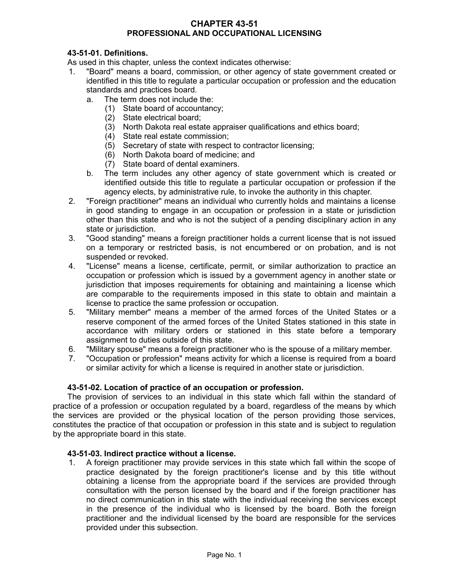#### **CHAPTER 43-51 PROFESSIONAL AND OCCUPATIONAL LICENSING**

# **43-51-01. Definitions.**

As used in this chapter, unless the context indicates otherwise:

- 1. "Board" means a board, commission, or other agency of state government created or identified in this title to regulate a particular occupation or profession and the education standards and practices board.
	- a. The term does not include the:
		- (1) State board of accountancy;
		- (2) State electrical board;
		- (3) North Dakota real estate appraiser qualifications and ethics board;
		- (4) State real estate commission;
		- (5) Secretary of state with respect to contractor licensing;
		- (6) North Dakota board of medicine; and
		- (7) State board of dental examiners.
	- b. The term includes any other agency of state government which is created or identified outside this title to regulate a particular occupation or profession if the agency elects, by administrative rule, to invoke the authority in this chapter.
- 2. "Foreign practitioner" means an individual who currently holds and maintains a license in good standing to engage in an occupation or profession in a state or jurisdiction other than this state and who is not the subject of a pending disciplinary action in any state or jurisdiction.
- 3. "Good standing" means a foreign practitioner holds a current license that is not issued on a temporary or restricted basis, is not encumbered or on probation, and is not suspended or revoked.
- 4. "License" means a license, certificate, permit, or similar authorization to practice an occupation or profession which is issued by a government agency in another state or jurisdiction that imposes requirements for obtaining and maintaining a license which are comparable to the requirements imposed in this state to obtain and maintain a license to practice the same profession or occupation.
- 5. "Military member" means a member of the armed forces of the United States or a reserve component of the armed forces of the United States stationed in this state in accordance with military orders or stationed in this state before a temporary assignment to duties outside of this state.
- 6. "Military spouse" means a foreign practitioner who is the spouse of a military member.
- 7. "Occupation or profession" means activity for which a license is required from a board or similar activity for which a license is required in another state or jurisdiction.

## **43-51-02. Location of practice of an occupation or profession.**

The provision of services to an individual in this state which fall within the standard of practice of a profession or occupation regulated by a board, regardless of the means by which the services are provided or the physical location of the person providing those services, constitutes the practice of that occupation or profession in this state and is subject to regulation by the appropriate board in this state.

## **43-51-03. Indirect practice without a license.**

1. A foreign practitioner may provide services in this state which fall within the scope of practice designated by the foreign practitioner's license and by this title without obtaining a license from the appropriate board if the services are provided through consultation with the person licensed by the board and if the foreign practitioner has no direct communication in this state with the individual receiving the services except in the presence of the individual who is licensed by the board. Both the foreign practitioner and the individual licensed by the board are responsible for the services provided under this subsection.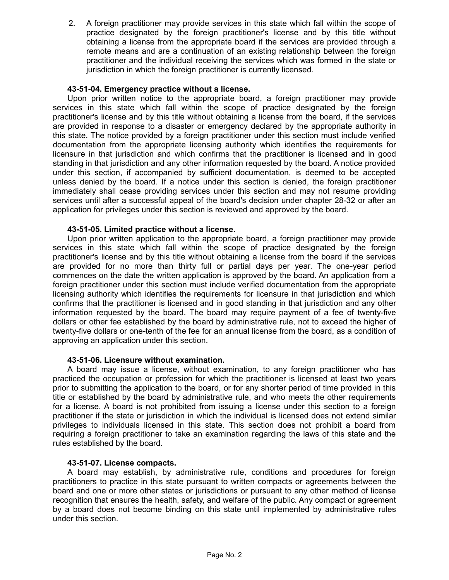2. A foreign practitioner may provide services in this state which fall within the scope of practice designated by the foreign practitioner's license and by this title without obtaining a license from the appropriate board if the services are provided through a remote means and are a continuation of an existing relationship between the foreign practitioner and the individual receiving the services which was formed in the state or jurisdiction in which the foreign practitioner is currently licensed.

## **43-51-04. Emergency practice without a license.**

Upon prior written notice to the appropriate board, a foreign practitioner may provide services in this state which fall within the scope of practice designated by the foreign practitioner's license and by this title without obtaining a license from the board, if the services are provided in response to a disaster or emergency declared by the appropriate authority in this state. The notice provided by a foreign practitioner under this section must include verified documentation from the appropriate licensing authority which identifies the requirements for licensure in that jurisdiction and which confirms that the practitioner is licensed and in good standing in that jurisdiction and any other information requested by the board. A notice provided under this section, if accompanied by sufficient documentation, is deemed to be accepted unless denied by the board. If a notice under this section is denied, the foreign practitioner immediately shall cease providing services under this section and may not resume providing services until after a successful appeal of the board's decision under chapter 28-32 or after an application for privileges under this section is reviewed and approved by the board.

### **43-51-05. Limited practice without a license.**

Upon prior written application to the appropriate board, a foreign practitioner may provide services in this state which fall within the scope of practice designated by the foreign practitioner's license and by this title without obtaining a license from the board if the services are provided for no more than thirty full or partial days per year. The one-year period commences on the date the written application is approved by the board. An application from a foreign practitioner under this section must include verified documentation from the appropriate licensing authority which identifies the requirements for licensure in that jurisdiction and which confirms that the practitioner is licensed and in good standing in that jurisdiction and any other information requested by the board. The board may require payment of a fee of twenty-five dollars or other fee established by the board by administrative rule, not to exceed the higher of twenty-five dollars or one-tenth of the fee for an annual license from the board, as a condition of approving an application under this section.

#### **43-51-06. Licensure without examination.**

A board may issue a license, without examination, to any foreign practitioner who has practiced the occupation or profession for which the practitioner is licensed at least two years prior to submitting the application to the board, or for any shorter period of time provided in this title or established by the board by administrative rule, and who meets the other requirements for a license. A board is not prohibited from issuing a license under this section to a foreign practitioner if the state or jurisdiction in which the individual is licensed does not extend similar privileges to individuals licensed in this state. This section does not prohibit a board from requiring a foreign practitioner to take an examination regarding the laws of this state and the rules established by the board.

#### **43-51-07. License compacts.**

A board may establish, by administrative rule, conditions and procedures for foreign practitioners to practice in this state pursuant to written compacts or agreements between the board and one or more other states or jurisdictions or pursuant to any other method of license recognition that ensures the health, safety, and welfare of the public. Any compact or agreement by a board does not become binding on this state until implemented by administrative rules under this section.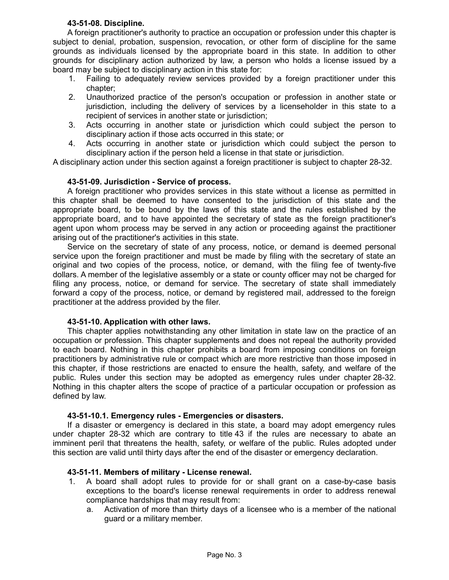### **43-51-08. Discipline.**

A foreign practitioner's authority to practice an occupation or profession under this chapter is subject to denial, probation, suspension, revocation, or other form of discipline for the same grounds as individuals licensed by the appropriate board in this state. In addition to other grounds for disciplinary action authorized by law, a person who holds a license issued by a board may be subject to disciplinary action in this state for:

- 1. Failing to adequately review services provided by a foreign practitioner under this chapter;
- 2. Unauthorized practice of the person's occupation or profession in another state or jurisdiction, including the delivery of services by a licenseholder in this state to a recipient of services in another state or jurisdiction;
- 3. Acts occurring in another state or jurisdiction which could subject the person to disciplinary action if those acts occurred in this state; or
- 4. Acts occurring in another state or jurisdiction which could subject the person to disciplinary action if the person held a license in that state or jurisdiction.

A disciplinary action under this section against a foreign practitioner is subject to chapter 28-32.

### **43-51-09. Jurisdiction - Service of process.**

A foreign practitioner who provides services in this state without a license as permitted in this chapter shall be deemed to have consented to the jurisdiction of this state and the appropriate board, to be bound by the laws of this state and the rules established by the appropriate board, and to have appointed the secretary of state as the foreign practitioner's agent upon whom process may be served in any action or proceeding against the practitioner arising out of the practitioner's activities in this state.

Service on the secretary of state of any process, notice, or demand is deemed personal service upon the foreign practitioner and must be made by filing with the secretary of state an original and two copies of the process, notice, or demand, with the filing fee of twenty-five dollars. A member of the legislative assembly or a state or county officer may not be charged for filing any process, notice, or demand for service. The secretary of state shall immediately forward a copy of the process, notice, or demand by registered mail, addressed to the foreign practitioner at the address provided by the filer.

#### **43-51-10. Application with other laws.**

This chapter applies notwithstanding any other limitation in state law on the practice of an occupation or profession. This chapter supplements and does not repeal the authority provided to each board. Nothing in this chapter prohibits a board from imposing conditions on foreign practitioners by administrative rule or compact which are more restrictive than those imposed in this chapter, if those restrictions are enacted to ensure the health, safety, and welfare of the public. Rules under this section may be adopted as emergency rules under chapter 28-32. Nothing in this chapter alters the scope of practice of a particular occupation or profession as defined by law.

#### **43-51-10.1. Emergency rules - Emergencies or disasters.**

If a disaster or emergency is declared in this state, a board may adopt emergency rules under chapter 28-32 which are contrary to title 43 if the rules are necessary to abate an imminent peril that threatens the health, safety, or welfare of the public. Rules adopted under this section are valid until thirty days after the end of the disaster or emergency declaration.

## **43-51-11. Members of military - License renewal.**

- 1. A board shall adopt rules to provide for or shall grant on a case-by-case basis exceptions to the board's license renewal requirements in order to address renewal compliance hardships that may result from:
	- a. Activation of more than thirty days of a licensee who is a member of the national guard or a military member.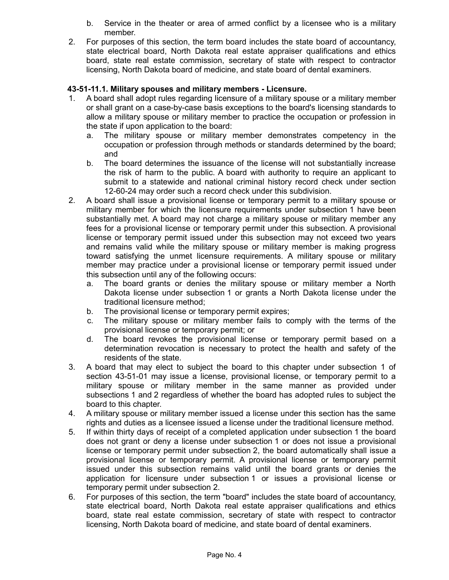- b. Service in the theater or area of armed conflict by a licensee who is a military member.
- 2. For purposes of this section, the term board includes the state board of accountancy, state electrical board, North Dakota real estate appraiser qualifications and ethics board, state real estate commission, secretary of state with respect to contractor licensing, North Dakota board of medicine, and state board of dental examiners.

# **43-51-11.1. Military spouses and military members - Licensure.**

- 1. A board shall adopt rules regarding licensure of a military spouse or a military member or shall grant on a case-by-case basis exceptions to the board's licensing standards to allow a military spouse or military member to practice the occupation or profession in the state if upon application to the board:
	- a. The military spouse or military member demonstrates competency in the occupation or profession through methods or standards determined by the board; and
	- b. The board determines the issuance of the license will not substantially increase the risk of harm to the public. A board with authority to require an applicant to submit to a statewide and national criminal history record check under section 12-60-24 may order such a record check under this subdivision.
- 2. A board shall issue a provisional license or temporary permit to a military spouse or military member for which the licensure requirements under subsection 1 have been substantially met. A board may not charge a military spouse or military member any fees for a provisional license or temporary permit under this subsection. A provisional license or temporary permit issued under this subsection may not exceed two years and remains valid while the military spouse or military member is making progress toward satisfying the unmet licensure requirements. A military spouse or military member may practice under a provisional license or temporary permit issued under this subsection until any of the following occurs:
	- a. The board grants or denies the military spouse or military member a North Dakota license under subsection 1 or grants a North Dakota license under the traditional licensure method;
	- b. The provisional license or temporary permit expires;
	- c. The military spouse or military member fails to comply with the terms of the provisional license or temporary permit; or
	- d. The board revokes the provisional license or temporary permit based on a determination revocation is necessary to protect the health and safety of the residents of the state.
- 3. A board that may elect to subject the board to this chapter under subsection 1 of section 43-51-01 may issue a license, provisional license, or temporary permit to a military spouse or military member in the same manner as provided under subsections 1 and 2 regardless of whether the board has adopted rules to subject the board to this chapter.
- 4. A military spouse or military member issued a license under this section has the same rights and duties as a licensee issued a license under the traditional licensure method.
- 5. If within thirty days of receipt of a completed application under subsection 1 the board does not grant or deny a license under subsection 1 or does not issue a provisional license or temporary permit under subsection 2, the board automatically shall issue a provisional license or temporary permit. A provisional license or temporary permit issued under this subsection remains valid until the board grants or denies the application for licensure under subsection 1 or issues a provisional license or temporary permit under subsection 2.
- 6. For purposes of this section, the term "board" includes the state board of accountancy, state electrical board, North Dakota real estate appraiser qualifications and ethics board, state real estate commission, secretary of state with respect to contractor licensing, North Dakota board of medicine, and state board of dental examiners.